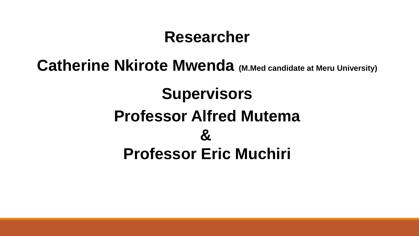## **Researcher**

## **Catherine Nkirote Mwenda** (M.Med candidate at Meru University)

# **Supervisors Professor Alfred Mutema & Professor Eric Muchiri**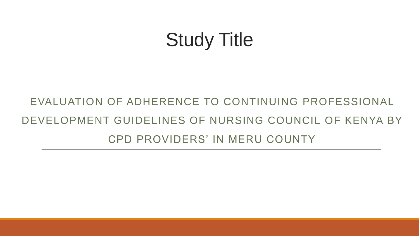# Study Title

# EVALUATION OF ADHERENCE TO CONTINUING PROFESSIONAL DEVELOPMENT GUIDELINES OF NURSING COUNCIL OF KENYA BY CPD PROVIDERS' IN MERU COUNTY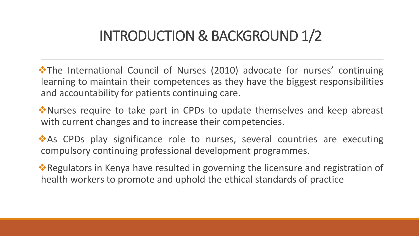## INTRODUCTION & BACKGROUND 1/2

**\*The International Council of Nurses (2010) advocate for nurses' continuing** learning to maintain their competences as they have the biggest responsibilities and accountability for patients continuing care.

**W**\*Nurses require to take part in CPDs to update themselves and keep abreast with current changes and to increase their competencies.

\*As CPDs play significance role to nurses, several countries are executing compulsory continuing professional development programmes.

**\*** Regulators in Kenya have resulted in governing the licensure and registration of health workers to promote and uphold the ethical standards of practice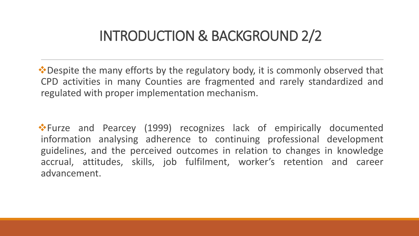### INTRODUCTION & BACKGROUND 2/2

**\*** Despite the many efforts by the regulatory body, it is commonly observed that CPD activities in many Counties are fragmented and rarely standardized and regulated with proper implementation mechanism.

Furze and Pearcey (1999) recognizes lack of empirically documented information analysing adherence to continuing professional development guidelines, and the perceived outcomes in relation to changes in knowledge accrual, attitudes, skills, job fulfilment, worker's retention and career advancement.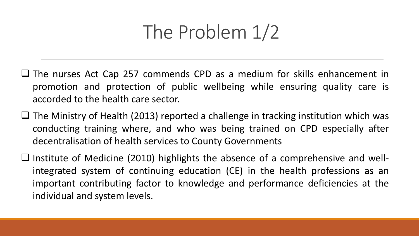# The Problem 1/2

- The nurses Act Cap 257 commends CPD as a medium for skills enhancement in promotion and protection of public wellbeing while ensuring quality care is accorded to the health care sector.
- $\Box$  The Ministry of Health (2013) reported a challenge in tracking institution which was conducting training where, and who was being trained on CPD especially after decentralisation of health services to County Governments
- $\Box$  Institute of Medicine (2010) highlights the absence of a comprehensive and wellintegrated system of continuing education (CE) in the health professions as an important contributing factor to knowledge and performance deficiencies at the individual and system levels.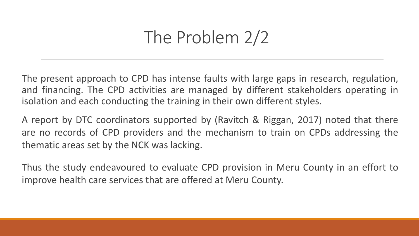# The Problem 2/2

The present approach to CPD has intense faults with large gaps in research, regulation, and financing. The CPD activities are managed by different stakeholders operating in isolation and each conducting the training in their own different styles.

A report by DTC coordinators supported by (Ravitch & Riggan, 2017) noted that there are no records of CPD providers and the mechanism to train on CPDs addressing the thematic areas set by the NCK was lacking.

Thus the study endeavoured to evaluate CPD provision in Meru County in an effort to improve health care services that are offered at Meru County.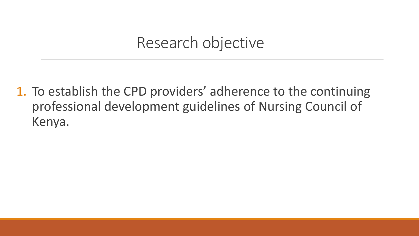## Research objective

1. To establish the CPD providers' adherence to the continuing professional development guidelines of Nursing Council of Kenya.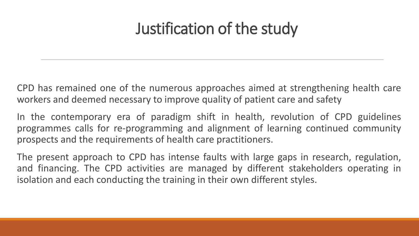# Justification of the study

CPD has remained one of the numerous approaches aimed at strengthening health care workers and deemed necessary to improve quality of patient care and safety

In the contemporary era of paradigm shift in health, revolution of CPD guidelines programmes calls for re-programming and alignment of learning continued community prospects and the requirements of health care practitioners.

The present approach to CPD has intense faults with large gaps in research, regulation, and financing. The CPD activities are managed by different stakeholders operating in isolation and each conducting the training in their own different styles.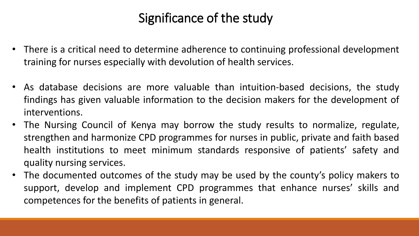### Significance of the study

- There is a critical need to determine adherence to continuing professional development training for nurses especially with devolution of health services.
- As database decisions are more valuable than intuition-based decisions, the study findings has given valuable information to the decision makers for the development of interventions.
- The Nursing Council of Kenya may borrow the study results to normalize, regulate, strengthen and harmonize CPD programmes for nurses in public, private and faith based health institutions to meet minimum standards responsive of patients' safety and quality nursing services.
- The documented outcomes of the study may be used by the county's policy makers to support, develop and implement CPD programmes that enhance nurses' skills and competences for the benefits of patients in general.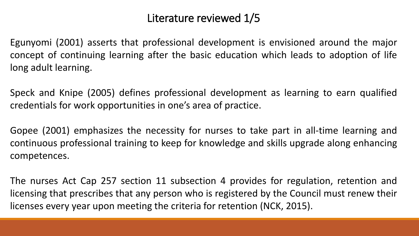#### Literature reviewed 1/5

Egunyomi (2001) asserts that professional development is envisioned around the major concept of continuing learning after the basic education which leads to adoption of life long adult learning.

Speck and Knipe (2005) defines professional development as learning to earn qualified credentials for work opportunities in one's area of practice.

Gopee (2001) emphasizes the necessity for nurses to take part in all-time learning and continuous professional training to keep for knowledge and skills upgrade along enhancing competences.

The nurses Act Cap 257 section 11 subsection 4 provides for regulation, retention and licensing that prescribes that any person who is registered by the Council must renew their licenses every year upon meeting the criteria for retention (NCK, 2015).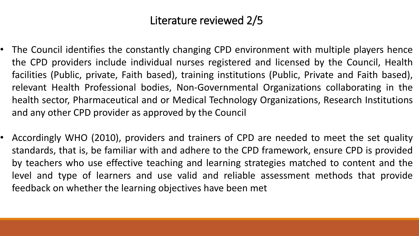### Literature reviewed 2/5

- The Council identifies the constantly changing CPD environment with multiple players hence the CPD providers include individual nurses registered and licensed by the Council, Health facilities (Public, private, Faith based), training institutions (Public, Private and Faith based), relevant Health Professional bodies, Non-Governmental Organizations collaborating in the health sector, Pharmaceutical and or Medical Technology Organizations, Research Institutions and any other CPD provider as approved by the Council
- Accordingly WHO (2010), providers and trainers of CPD are needed to meet the set quality standards, that is, be familiar with and adhere to the CPD framework, ensure CPD is provided by teachers who use effective teaching and learning strategies matched to content and the level and type of learners and use valid and reliable assessment methods that provide feedback on whether the learning objectives have been met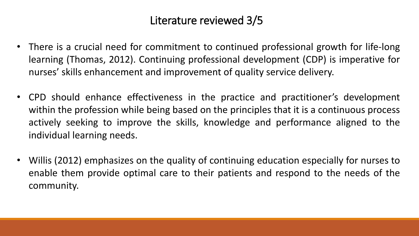### Literature reviewed 3/5

- There is a crucial need for commitment to continued professional growth for life-long learning (Thomas, 2012). Continuing professional development (CDP) is imperative for nurses' skills enhancement and improvement of quality service delivery.
- CPD should enhance effectiveness in the practice and practitioner's development within the profession while being based on the principles that it is a continuous process actively seeking to improve the skills, knowledge and performance aligned to the individual learning needs.
- Willis (2012) emphasizes on the quality of continuing education especially for nurses to enable them provide optimal care to their patients and respond to the needs of the community.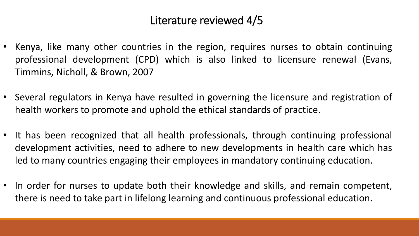#### Literature reviewed 4/5

- Kenya, like many other countries in the region, requires nurses to obtain continuing professional development (CPD) which is also linked to licensure renewal (Evans, Timmins, Nicholl, & Brown, 2007
- Several regulators in Kenya have resulted in governing the licensure and registration of health workers to promote and uphold the ethical standards of practice.
- It has been recognized that all health professionals, through continuing professional development activities, need to adhere to new developments in health care which has led to many countries engaging their employees in mandatory continuing education.
- In order for nurses to update both their knowledge and skills, and remain competent, there is need to take part in lifelong learning and continuous professional education.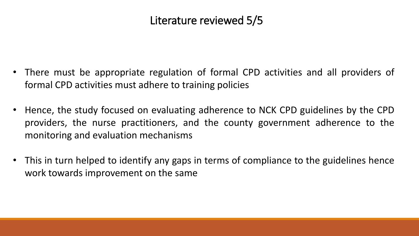### Literature reviewed 5/5

- There must be appropriate regulation of formal CPD activities and all providers of formal CPD activities must adhere to training policies
- Hence, the study focused on evaluating adherence to NCK CPD guidelines by the CPD providers, the nurse practitioners, and the county government adherence to the monitoring and evaluation mechanisms
- This in turn helped to identify any gaps in terms of compliance to the guidelines hence work towards improvement on the same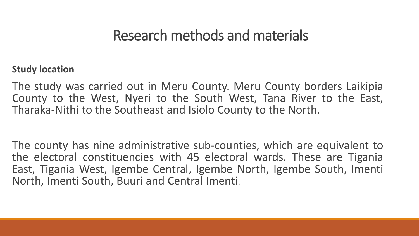### Research methods and materials

#### **Study location**

The study was carried out in Meru County. Meru County borders Laikipia County to the West, Nyeri to the South West, Tana River to the East, Tharaka-Nithi to the Southeast and Isiolo County to the North.

The county has nine administrative sub-counties, which are equivalent to the electoral constituencies with 45 electoral wards. These are Tigania East, Tigania West, Igembe Central, Igembe North, Igembe South, Imenti North, Imenti South, Buuri and Central Imenti.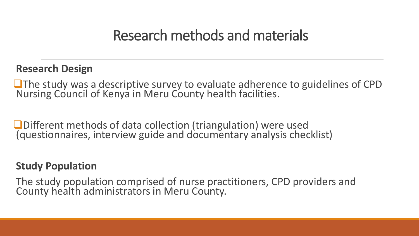### Research methods and materials

#### **Research Design**

The study was a descriptive survey to evaluate adherence to guidelines of CPD Nursing Council of Kenya in Meru County health facilities.

■Different methods of data collection (triangulation) were used (questionnaires, interview guide and documentary analysis checklist)

#### **Study Population**

The study population comprised of nurse practitioners, CPD providers and County health administrators in Meru County.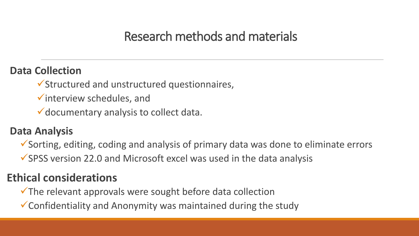### Research methods and materials

#### **Data Collection**

Structured and unstructured questionnaires,

 $\checkmark$  interview schedules, and

documentary analysis to collect data.

#### **Data Analysis**

Sorting, editing, coding and analysis of primary data was done to eliminate errors

 $\checkmark$  SPSS version 22.0 and Microsoft excel was used in the data analysis

### **Ethical considerations**

 $\checkmark$  The relevant approvals were sought before data collection

Confidentiality and Anonymity was maintained during the study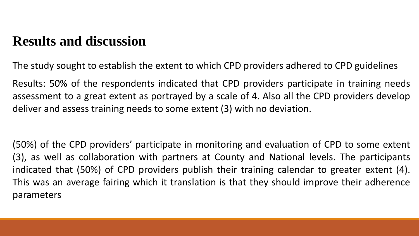The study sought to establish the extent to which CPD providers adhered to CPD guidelines

Results: 50% of the respondents indicated that CPD providers participate in training needs assessment to a great extent as portrayed by a scale of 4. Also all the CPD providers develop deliver and assess training needs to some extent (3) with no deviation.

(50%) of the CPD providers' participate in monitoring and evaluation of CPD to some extent (3), as well as collaboration with partners at County and National levels. The participants indicated that (50%) of CPD providers publish their training calendar to greater extent (4). This was an average fairing which it translation is that they should improve their adherence parameters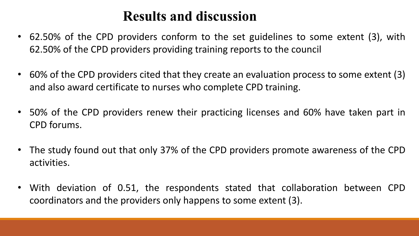- 62.50% of the CPD providers conform to the set guidelines to some extent (3), with 62.50% of the CPD providers providing training reports to the council
- 60% of the CPD providers cited that they create an evaluation process to some extent (3) and also award certificate to nurses who complete CPD training.
- 50% of the CPD providers renew their practicing licenses and 60% have taken part in CPD forums.
- The study found out that only 37% of the CPD providers promote awareness of the CPD activities.
- With deviation of 0.51, the respondents stated that collaboration between CPD coordinators and the providers only happens to some extent (3).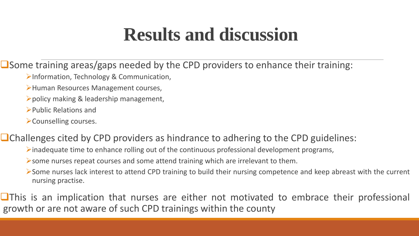$\Box$  Some training areas/gaps needed by the CPD providers to enhance their training:

- Information, Technology & Communication,
- Human Resources Management courses,
- policy making & leadership management,
- Public Relations and
- Counselling courses.

 $\Box$  Challenges cited by CPD providers as hindrance to adhering to the CPD guidelines:

- $\triangleright$  inadequate time to enhance rolling out of the continuous professional development programs,
- some nurses repeat courses and some attend training which are irrelevant to them.
- Some nurses lack interest to attend CPD training to build their nursing competence and keep abreast with the current nursing practise.

 $\Box$ This is an implication that nurses are either not motivated to embrace their professional growth or are not aware of such CPD trainings within the county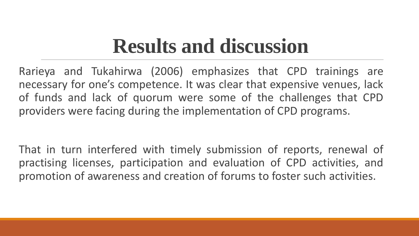Rarieya and Tukahirwa (2006) emphasizes that CPD trainings are necessary for one's competence. It was clear that expensive venues, lack of funds and lack of quorum were some of the challenges that CPD providers were facing during the implementation of CPD programs.

That in turn interfered with timely submission of reports, renewal of practising licenses, participation and evaluation of CPD activities, and promotion of awareness and creation of forums to foster such activities.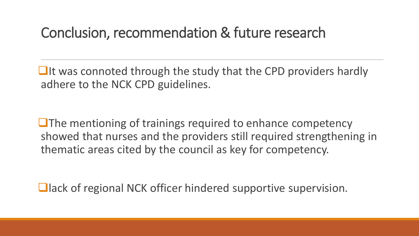## Conclusion, recommendation & future research

 $\Box$ It was connoted through the study that the CPD providers hardly adhere to the NCK CPD guidelines.

 $\Box$  The mentioning of trainings required to enhance competency showed that nurses and the providers still required strengthening in thematic areas cited by the council as key for competency.

**Qack of regional NCK officer hindered supportive supervision.**